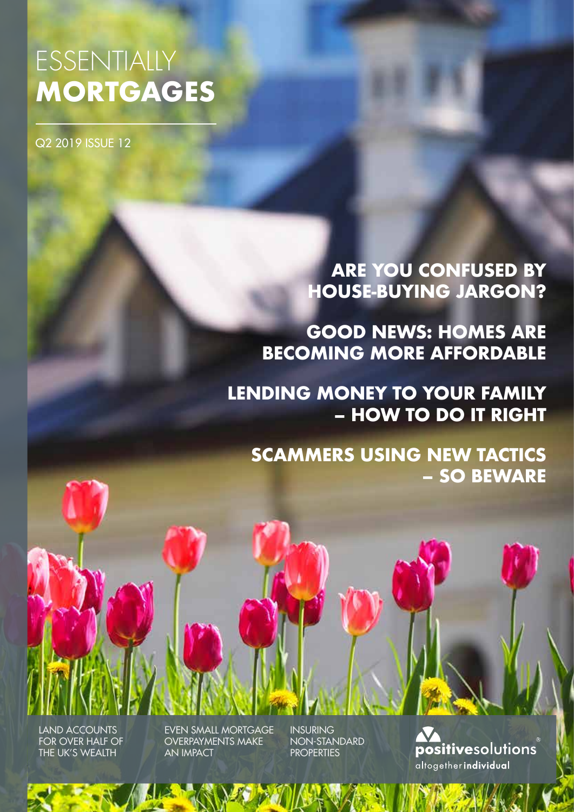# ESSENTIALLY **MORTGAGES**

Q2 2019 ISSUE 12

**ARE YOU CONFUSED BY HOUSE-BUYING JARGON?**

**GOOD NEWS: HOMES ARE BECOMING MORE AFFORDABLE**

**LENDING MONEY TO YOUR FAMILY – HOW TO DO IT RIGHT** 

**SCAMMERS USING NEW TACTICS – SO BEWARE**

LAND ACCOUNTS FOR OVER HALF OF THE UK'S WEALTH

EVEN SMALL MORTGAGE OVERPAYMENTS MAKE AN IMPACT

INSURING NON-STANDARD **PROPERTIES** 

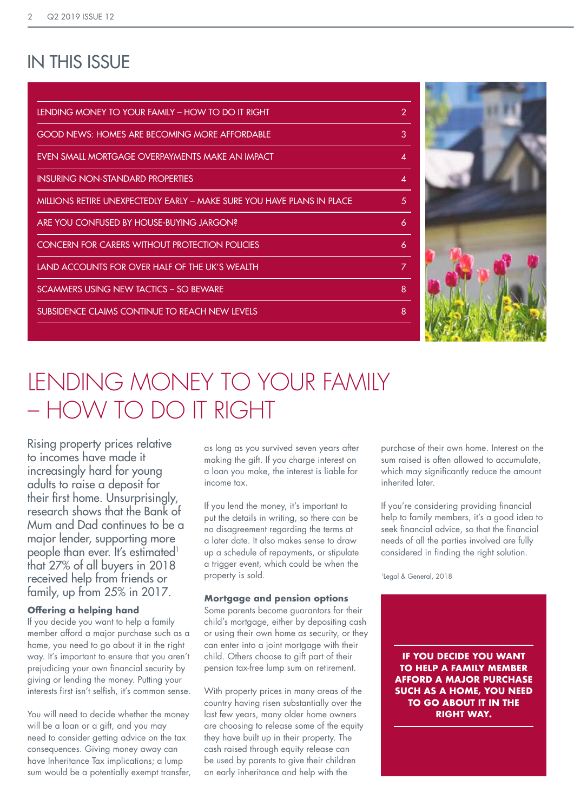### IN THIS ISSUE

| <b>LENDING MONEY TO YOUR FAMILY - HOW TO DO IT RIGHT</b><br>2<br><b>GOOD NEWS: HOMES ARE BECOMING MORE AFFORDABLE</b><br>3<br>EVEN SMALL MORTGAGE OVERPAYMENTS MAKE AN IMPACT<br>$\boldsymbol{\varLambda}$<br><b>INSURING NON-STANDARD PROPERTIES</b><br>4<br>MILLIONS RETIRE UNEXPECTEDLY EARLY – MAKE SURE YOU HAVE PLANS IN PLACE<br>5<br>ARE YOU CONFUSED BY HOUSE-BUYING JARGON?<br>6<br>CONCERN FOR CARERS WITHOUT PROTECTION POLICIES<br>6<br>LAND ACCOUNTS FOR OVER HALF OF THE UK'S WEALTH<br>7<br>SCAMMERS USING NEW TACTICS - SO BEWARE<br>8<br>SUBSIDENCE CLAIMS CONTINUE TO REACH NEW LEVELS<br>8 |  |
|----------------------------------------------------------------------------------------------------------------------------------------------------------------------------------------------------------------------------------------------------------------------------------------------------------------------------------------------------------------------------------------------------------------------------------------------------------------------------------------------------------------------------------------------------------------------------------------------------------------|--|
|                                                                                                                                                                                                                                                                                                                                                                                                                                                                                                                                                                                                                |  |
|                                                                                                                                                                                                                                                                                                                                                                                                                                                                                                                                                                                                                |  |
|                                                                                                                                                                                                                                                                                                                                                                                                                                                                                                                                                                                                                |  |
|                                                                                                                                                                                                                                                                                                                                                                                                                                                                                                                                                                                                                |  |
|                                                                                                                                                                                                                                                                                                                                                                                                                                                                                                                                                                                                                |  |
|                                                                                                                                                                                                                                                                                                                                                                                                                                                                                                                                                                                                                |  |
|                                                                                                                                                                                                                                                                                                                                                                                                                                                                                                                                                                                                                |  |
|                                                                                                                                                                                                                                                                                                                                                                                                                                                                                                                                                                                                                |  |
|                                                                                                                                                                                                                                                                                                                                                                                                                                                                                                                                                                                                                |  |
|                                                                                                                                                                                                                                                                                                                                                                                                                                                                                                                                                                                                                |  |



# LENDING MONEY TO YOUR FAMILY – HOW TO DO IT RIGHT

Rising property prices relative to incomes have made it increasingly hard for young adults to raise a deposit for their first home. Unsurprisingly, research shows that the Bank of Mum and Dad continues to be a major lender, supporting more people than ever. It's estimated<sup>1</sup> that 27% of all buyers in 2018 received help from friends or family, up from 25% in 2017.

#### **Offering a helping hand**

If you decide you want to help a family member afford a major purchase such as a home, you need to go about it in the right way. It's important to ensure that you aren't prejudicing your own financial security by giving or lending the money. Putting your interests first isn't selfish, it's common sense.

You will need to decide whether the money will be a loan or a gift, and you may need to consider getting advice on the tax consequences. Giving money away can have Inheritance Tax implications; a lump sum would be a potentially exempt transfer, as long as you survived seven years after making the gift. If you charge interest on a loan you make, the interest is liable for income tax.

If you lend the money, it's important to put the details in writing, so there can be no disagreement regarding the terms at a later date. It also makes sense to draw up a schedule of repayments, or stipulate a trigger event, which could be when the property is sold.

#### **Mortgage and pension options**

Some parents become guarantors for their child's mortgage, either by depositing cash or using their own home as security, or they can enter into a joint mortgage with their child. Others choose to gift part of their pension tax-free lump sum on retirement.

With property prices in many areas of the country having risen substantially over the last few years, many older home owners are choosing to release some of the equity they have built up in their property. The cash raised through equity release can be used by parents to give their children an early inheritance and help with the

purchase of their own home. Interest on the sum raised is often allowed to accumulate, which may significantly reduce the amount inherited later.

If you're considering providing financial help to family members, it's a good idea to seek financial advice, so that the financial needs of all the parties involved are fully considered in finding the right solution.

1Legal & General, 2018

**IF YOU DECIDE YOU WANT TO HELP A FAMILY MEMBER AFFORD A MAJOR PURCHASE SUCH AS A HOME, YOU NEED TO GO ABOUT IT IN THE RIGHT WAY.**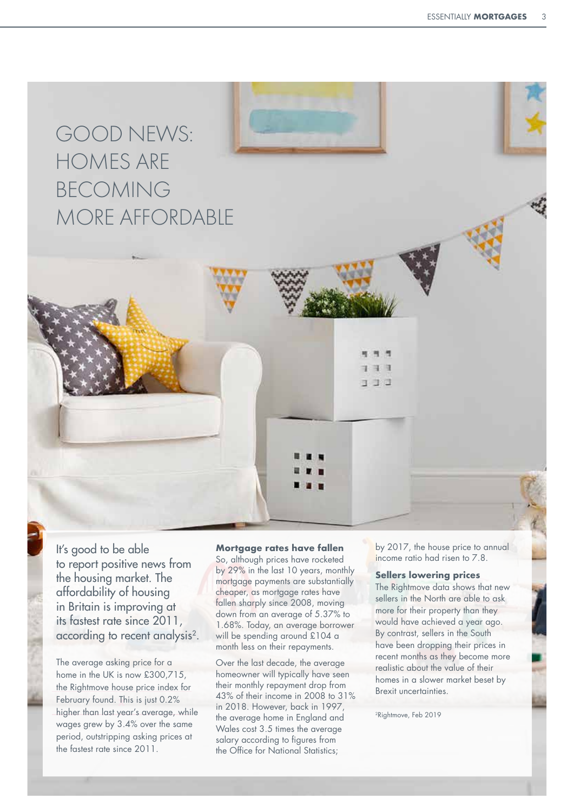## GOOD NEWS: HOMES ARE BECOMING MORE AFFORDABLE

It's good to be able to report positive news from the housing market. The affordability of housing in Britain is improving at its fastest rate since 2011, according to recent analysis<sup>2</sup>.

**X** February found. This is just 0.2% The average asking price for a home in the UK is now £300,715, the Rightmove house price index for higher than last year's average, while wages grew by 3.4% over the same period, outstripping asking prices at the fastest rate since 2011.

**Mortgage rates have fallen**

So, although prices have rocketed by 29% in the last 10 years, monthly mortgage payments are substantially cheaper, as mortgage rates have fallen sharply since 2008, moving down from an average of 5.37% to 1.68%. Today, an average borrower will be spending around £104 a month less on their repayments.

Over the last decade, the average homeowner will typically have seen their monthly repayment drop from 43% of their income in 2008 to 31% in 2018. However, back in 1997, the average home in England and Wales cost 3.5 times the average salary according to figures from the Office for National Statistics;

by 2017, the house price to annual income ratio had risen to 7.8.

#### **Sellers lowering prices**

コ. ゴッズ

The Rightmove data shows that new sellers in the North are able to ask more for their property than they would have achieved a year ago. By contrast, sellers in the South have been dropping their prices in recent months as they become more realistic about the value of their homes in a slower market beset by Brexit uncertainties.

<sup>2</sup>Rightmove, Feb 2019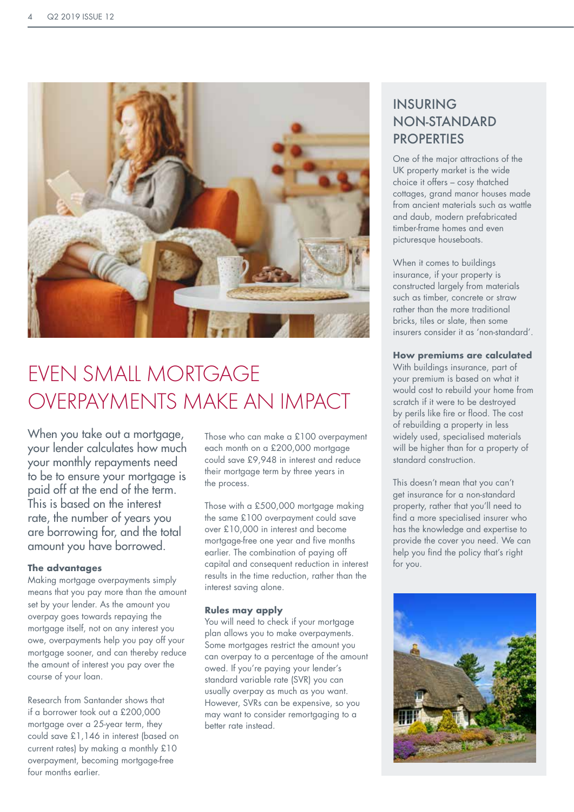

## EVEN SMALL MORTGAGE OVERPAYMENTS MAKE AN IMPACT

When you take out a mortgage, your lender calculates how much your monthly repayments need to be to ensure your mortgage is paid off at the end of the term. This is based on the interest rate, the number of years you are borrowing for, and the total amount you have borrowed.

#### **The advantages**

Making mortgage overpayments simply means that you pay more than the amount set by your lender. As the amount you overpay goes towards repaying the mortgage itself, not on any interest you owe, overpayments help you pay off your mortgage sooner, and can thereby reduce the amount of interest you pay over the course of your loan.

Research from Santander shows that if a borrower took out a £200,000 mortgage over a 25-year term, they could save £1,146 in interest (based on current rates) by making a monthly £10 overpayment, becoming mortgage-free four months earlier.

Those who can make a £100 overpayment each month on a £200,000 mortgage could save £9,948 in interest and reduce their mortgage term by three years in the process.

Those with a £500,000 mortgage making the same £100 overpayment could save over £10,000 in interest and become mortgage-free one year and five months earlier. The combination of paying off capital and consequent reduction in interest results in the time reduction, rather than the interest saving alone.

#### **Rules may apply**

You will need to check if your mortgage plan allows you to make overpayments. Some mortgages restrict the amount you can overpay to a percentage of the amount owed. If you're paying your lender's standard variable rate (SVR) you can usually overpay as much as you want. However, SVRs can be expensive, so you may want to consider remortgaging to a better rate instead.

### INSURING NON-STANDARD **PROPERTIES**

One of the major attractions of the UK property market is the wide choice it offers – cosy thatched cottages, grand manor houses made from ancient materials such as wattle and daub, modern prefabricated timber-frame homes and even picturesque houseboats.

When it comes to buildings insurance, if your property is constructed largely from materials such as timber, concrete or straw rather than the more traditional bricks, tiles or slate, then some insurers consider it as 'non-standard'.

#### **How premiums are calculated**

With buildings insurance, part of your premium is based on what it would cost to rebuild your home from scratch if it were to be destroyed by perils like fire or flood. The cost of rebuilding a property in less widely used, specialised materials will be higher than for a property of standard construction.

This doesn't mean that you can't get insurance for a non-standard property, rather that you'll need to find a more specialised insurer who has the knowledge and expertise to provide the cover you need. We can help you find the policy that's right for you.

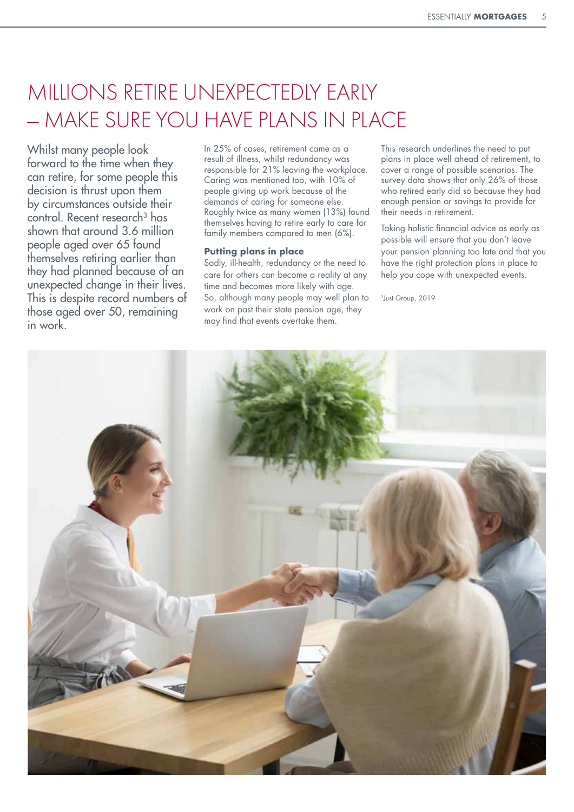## MILLIONS RETIRE UNEXPECTEDLY EARLY — MAKE SURE YOU HAVE PLANS IN PLACE

Whilst many people look forward to the time when they can retire, for some people this decision is thrust upon them by circumstances outside their control. Recent research<sup>3</sup> has shown that around 3.6 million people aged over 65 found themselves retiring earlier than they had planned because of an unexpected change in their lives. This is despite record numbers of those aged over 50, remaining in work.

In 25% of cases, retirement came as a result of illness, whilst redundancy was responsible for 21% leaving the workplace. Caring was mentioned too, with 10% of people giving up work because of the demands of caring for someone else. Roughly twice as many women (13%) found themselves having to retire early to care for family members compared to men (6%).

#### **Putting plans in place**

Sadly, ill-health, redundancy or the need to care for others can become a reality at any time and becomes more likely with age. So, although many people may well plan to work on past their state pension age, they may find that events overtake them.

This research underlines the need to put plans in place well ahead of retirement, to cover a range of possible scenarios. The survey data shows that only 26% of those who retired early did so because they had enough pension or savings to provide for their needs in retirement.

Taking holistic financial advice as early as possible will ensure that you don't leave your pension planning too late and that you have the right protection plans in place to help you cope with unexpected events.

3Just Group, 2019

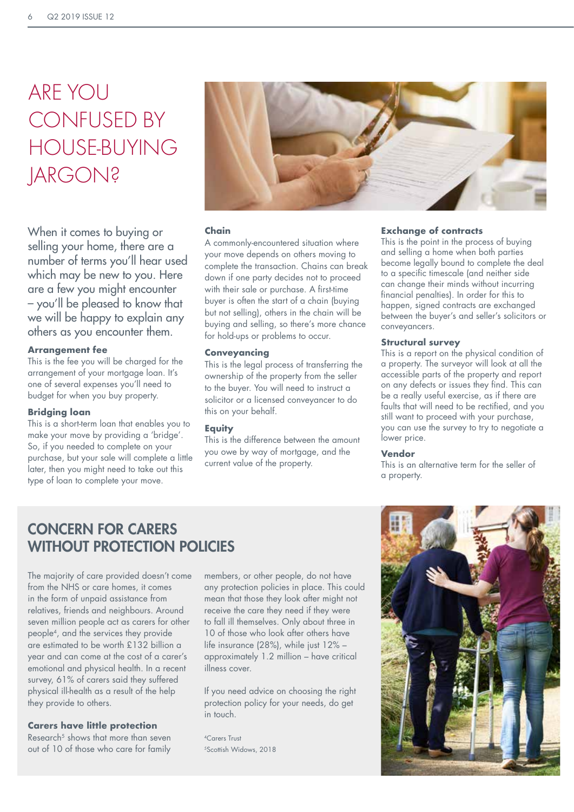# ARE YOU CONFUSED BY HOUSE-BUYING **JARGON?**

When it comes to buying or selling your home, there are a number of terms you'll hear used which may be new to you. Here are a few you might encounter – you'll be pleased to know that we will be happy to explain any others as you encounter them.

#### **Arrangement fee**

This is the fee you will be charged for the arrangement of your mortgage loan. It's one of several expenses you'll need to budget for when you buy property.

#### **Bridging loan**

This is a short-term loan that enables you to make your move by providing a 'bridge'. So, if you needed to complete on your purchase, but your sale will complete a little later, then you might need to take out this type of loan to complete your move.



#### **Chain**

A commonly-encountered situation where your move depends on others moving to complete the transaction. Chains can break down if one party decides not to proceed with their sale or purchase. A first-time buyer is often the start of a chain (buying but not selling), others in the chain will be buying and selling, so there's more chance for hold-ups or problems to occur.

#### **Conveyancing**

This is the legal process of transferring the ownership of the property from the seller to the buyer. You will need to instruct a solicitor or a licensed conveyancer to do this on your behalf.

#### **Equity**

This is the difference between the amount you owe by way of mortgage, and the current value of the property.

#### **Exchange of contracts**

This is the point in the process of buying and selling a home when both parties become legally bound to complete the deal to a specific timescale (and neither side can change their minds without incurring financial penalties). In order for this to happen, signed contracts are exchanged between the buyer's and seller's solicitors or conveyancers.

#### **Structural survey**

This is a report on the physical condition of a property. The surveyor will look at all the accessible parts of the property and report on any defects or issues they find. This can be a really useful exercise, as if there are faults that will need to be rectified, and you still want to proceed with your purchase, you can use the survey to try to negotiate a lower price.

#### **Vendor**

This is an alternative term for the seller of a property.

### CONCERN FOR CARERS WITHOUT PROTECTION POLICIES

The majority of care provided doesn't come from the NHS or care homes, it comes in the form of unpaid assistance from relatives, friends and neighbours. Around seven million people act as carers for other people4, and the services they provide are estimated to be worth £132 billion a year and can come at the cost of a carer's emotional and physical health. In a recent survey, 61% of carers said they suffered physical ill-health as a result of the help they provide to others.

#### **Carers have little protection**

Research<sup>5</sup> shows that more than seven out of 10 of those who care for family members, or other people, do not have any protection policies in place. This could mean that those they look after might not receive the care they need if they were to fall ill themselves. Only about three in 10 of those who look after others have life insurance (28%), while just 12% – approximately 1.2 million – have critical illness cover.

If you need advice on choosing the right protection policy for your needs, do get in touch.

4Carors Trust 5Scottish Widows, 2018

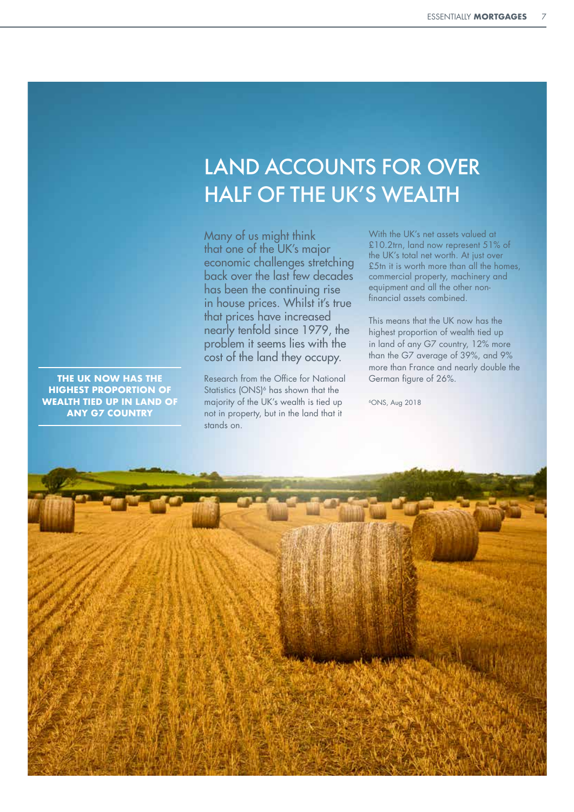## LAND ACCOUNTS FOR OVER HALF OF THE UK'S WEALTH

Many of us might think that one of the UK's major economic challenges stretching back over the last few decades has been the continuing rise in house prices. Whilst it's true that prices have increased nearly tenfold since 1979, the problem it seems lies with the cost of the land they occupy.

Research from the Office for National Statistics (ONS)<sup>6</sup> has shown that the majority of the UK's wealth is tied up not in property, but in the land that it stands on.

**THE UK NOW HAS THE HIGHEST PROPORTION OF WEALTH TIED UP IN LAND OF ANY G7 COUNTRY**

With the UK's net assets valued at £10.2trn, land now represent 51% of the UK's total net worth. At just over £5tn it is worth more than all the homes, commercial property, machinery and equipment and all the other nonfinancial assets combined.

This means that the UK now has the highest proportion of wealth tied up in land of any G7 country, 12% more than the G7 average of 39%, and 9% more than France and nearly double the German figure of 26%.

6ONS, Aug 2018